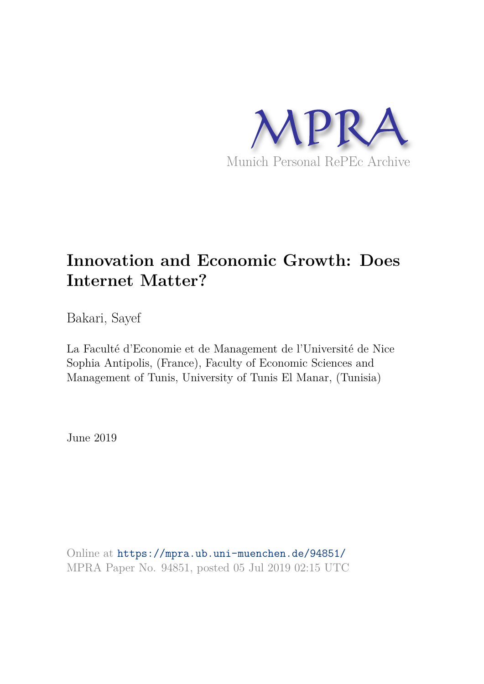

# **Innovation and Economic Growth: Does Internet Matter?**

Bakari, Sayef

La Faculté d'Economie et de Management de l'Université de Nice Sophia Antipolis, (France), Faculty of Economic Sciences and Management of Tunis, University of Tunis El Manar, (Tunisia)

June 2019

Online at https://mpra.ub.uni-muenchen.de/94851/ MPRA Paper No. 94851, posted 05 Jul 2019 02:15 UTC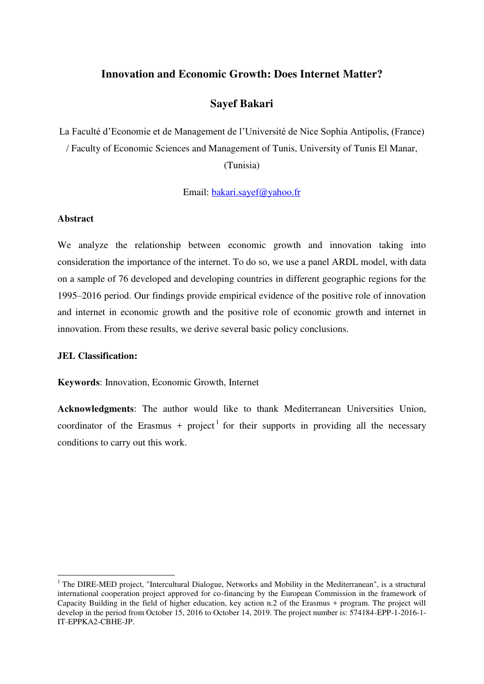# **Innovation and Economic Growth: Does Internet Matter?**

# **Sayef Bakari**

La Faculté d'Economie et de Management de l'Université de Nice Sophia Antipolis, (France) / Faculty of Economic Sciences and Management of Tunis, University of Tunis El Manar,

(Tunisia)

Email: [bakari.sayef@yahoo.fr](mailto:bakari.sayef@yahoo.fr)

#### **Abstract**

We analyze the relationship between economic growth and innovation taking into consideration the importance of the internet. To do so, we use a panel ARDL model, with data on a sample of 76 developed and developing countries in different geographic regions for the 1995–2016 period. Our findings provide empirical evidence of the positive role of innovation and internet in economic growth and the positive role of economic growth and internet in innovation. From these results, we derive several basic policy conclusions.

#### **JEL Classification:**

 $\overline{a}$ 

**Keywords**: Innovation, Economic Growth, Internet

**Acknowledgments**: The author would like to thank Mediterranean Universities Union, coordinator of the Erasmus + project<sup>1</sup> for their supports in providing all the necessary conditions to carry out this work.

<sup>&</sup>lt;sup>1</sup> The DIRE-MED project, "Intercultural Dialogue, Networks and Mobility in the Mediterranean", is a structural international cooperation project approved for co-financing by the European Commission in the framework of Capacity Building in the field of higher education, key action n.2 of the Erasmus + program. The project will develop in the period from October 15, 2016 to October 14, 2019. The project number is: 574184-EPP-1-2016-1- IT-EPPKA2-CBHE-JP.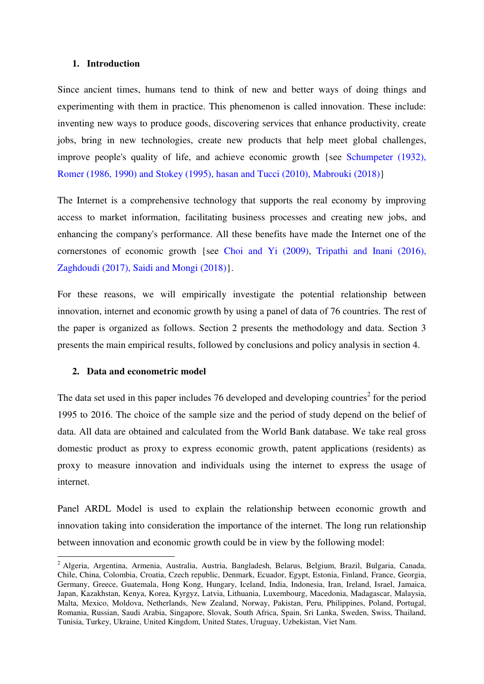#### **1. Introduction**

Since ancient times, humans tend to think of new and better ways of doing things and experimenting with them in practice. This phenomenon is called innovation. These include: inventing new ways to produce goods, discovering services that enhance productivity, create jobs, bring in new technologies, create new products that help meet global challenges, improve people's quality of life, and achieve economic growth {see Schumpeter (1932), Romer (1986, 1990) and Stokey (1995), hasan and Tucci (2010), Mabrouki (2018)}

The Internet is a comprehensive technology that supports the real economy by improving access to market information, facilitating business processes and creating new jobs, and enhancing the company's performance. All these benefits have made the Internet one of the cornerstones of economic growth {see Choi and Yi (2009), Tripathi and Inani (2016), Zaghdoudi (2017), Saidi and Mongi (2018)}.

For these reasons, we will empirically investigate the potential relationship between innovation, internet and economic growth by using a panel of data of 76 countries. The rest of the paper is organized as follows. Section 2 presents the methodology and data. Section 3 presents the main empirical results, followed by conclusions and policy analysis in section 4.

#### **2. Data and econometric model**

 $\overline{a}$ 

The data set used in this paper includes 76 developed and developing countries<sup>2</sup> for the period 1995 to 2016. The choice of the sample size and the period of study depend on the belief of data. All data are obtained and calculated from the World Bank database. We take real gross domestic product as proxy to express economic growth, patent applications (residents) as proxy to measure innovation and individuals using the internet to express the usage of internet.

Panel ARDL Model is used to explain the relationship between economic growth and innovation taking into consideration the importance of the internet. The long run relationship between innovation and economic growth could be in view by the following model:

<sup>&</sup>lt;sup>2</sup> Algeria, Argentina, Armenia, Australia, Austria, Bangladesh, Belarus, Belgium, Brazil, Bulgaria, Canada, Chile, China, Colombia, Croatia, Czech republic, Denmark, Ecuador, Egypt, Estonia, Finland, France, Georgia, Germany, Greece, Guatemala, Hong Kong, Hungary, Iceland, India, Indonesia, Iran, Ireland, Israel, Jamaica, Japan, Kazakhstan, Kenya, Korea, Kyrgyz, Latvia, Lithuania, Luxembourg, Macedonia, Madagascar, Malaysia, Malta, Mexico, Moldova, Netherlands, New Zealand, Norway, Pakistan, Peru, Philippines, Poland, Portugal, Romania, Russian, Saudi Arabia, Singapore, Slovak, South Africa, Spain, Sri Lanka, Sweden, Swiss, Thailand, Tunisia, Turkey, Ukraine, United Kingdom, United States, Uruguay, Uzbekistan, Viet Nam.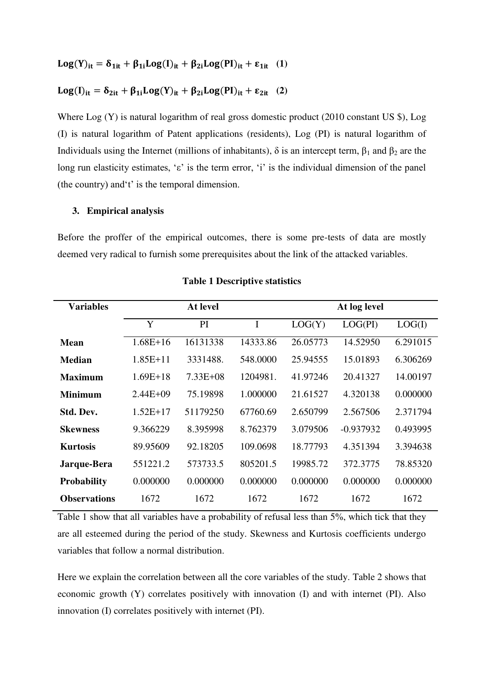$$
Log(Y)_{it}=\delta_{1it}+\beta_{1i}Log(I)_{it}+\beta_{2i}Log(PI)_{it}+\epsilon_{1it}~~(1)
$$

$$
Log(I)_{it} = \delta_{2it} + \beta_{1i} Log(Y)_{it} + \beta_{2i} Log(PI)_{it} + \epsilon_{2it} \quad (2)
$$

Where Log (Y) is natural logarithm of real gross domestic product (2010 constant US \$), Log (I) is natural logarithm of Patent applications (residents), Log (PI) is natural logarithm of Individuals using the Internet (millions of inhabitants),  $\delta$  is an intercept term,  $\beta_1$  and  $\beta_2$  are the long run elasticity estimates, ' $\varepsilon$ ' is the term error, 'i' is the individual dimension of the panel (the country) and't' is the temporal dimension.

## **3. Empirical analysis**

Before the proffer of the empirical outcomes, there is some pre-tests of data are mostly deemed very radical to furnish some prerequisites about the link of the attacked variables.

| <b>Variables</b>    | At level     |              |          | At log level |             |          |
|---------------------|--------------|--------------|----------|--------------|-------------|----------|
|                     | Y            | PI           | I        | LOG(Y)       | LOG(PI)     | LOG(I)   |
| Mean                | $1.68E + 16$ | 16131338     | 14333.86 | 26.05773     | 14.52950    | 6.291015 |
| Median              | $1.85E+11$   | 3331488.     | 548,0000 | 25.94555     | 15.01893    | 6.306269 |
| <b>Maximum</b>      | $1.69E+18$   | $7.33E + 08$ | 1204981. | 41.97246     | 20.41327    | 14.00197 |
| <b>Minimum</b>      | $2.44E + 09$ | 75.19898     | 1.000000 | 21.61527     | 4.320138    | 0.000000 |
| Std. Dev.           | $1.52E+17$   | 51179250     | 67760.69 | 2.650799     | 2.567506    | 2.371794 |
| <b>Skewness</b>     | 9.366229     | 8.395998     | 8.762379 | 3.079506     | $-0.937932$ | 0.493995 |
| <b>Kurtosis</b>     | 89.95609     | 92.18205     | 109.0698 | 18.77793     | 4.351394    | 3.394638 |
| Jarque-Bera         | 551221.2     | 573733.5     | 805201.5 | 19985.72     | 372.3775    | 78.85320 |
| <b>Probability</b>  | 0.000000     | 0.000000     | 0.000000 | 0.000000     | 0.000000    | 0.000000 |
| <b>Observations</b> | 1672         | 1672         | 1672     | 1672         | 1672        | 1672     |

#### **Table 1 Descriptive statistics**

Table 1 show that all variables have a probability of refusal less than 5%, which tick that they are all esteemed during the period of the study. Skewness and Kurtosis coefficients undergo variables that follow a normal distribution.

Here we explain the correlation between all the core variables of the study. Table 2 shows that economic growth (Y) correlates positively with innovation (I) and with internet (PI). Also innovation (I) correlates positively with internet (PI).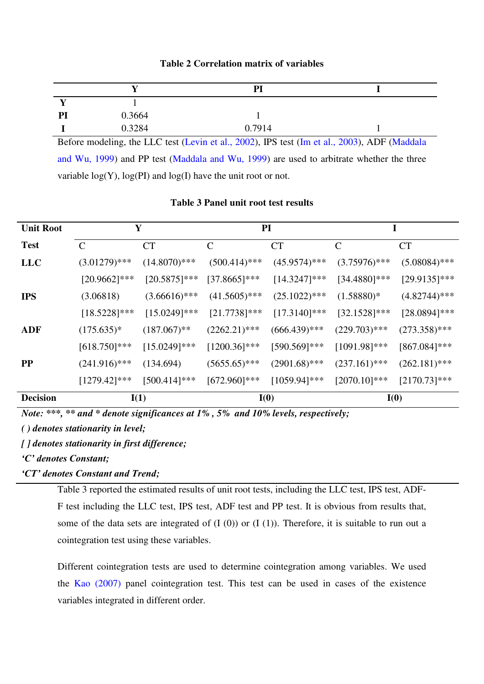|    |        | PI     |  |
|----|--------|--------|--|
| д. |        |        |  |
| PI | 0.3664 |        |  |
|    | 0.3284 | 0.7914 |  |

## **Table 2 Correlation matrix of variables**

Before modeling, the LLC test (Levin et al., 2002), IPS test (Im et al., 2003), ADF (Maddala and Wu, 1999) and PP test (Maddala and Wu, 1999) are used to arbitrate whether the three variable  $log(Y)$ ,  $log(PI)$  and  $log(I)$  have the unit root or not.

#### **Table 3 Panel unit root test results**

| <b>Unit Root</b> | Y               |                 | <b>PI</b>       |                 | I               |                 |
|------------------|-----------------|-----------------|-----------------|-----------------|-----------------|-----------------|
| <b>Test</b>      | $\mathcal{C}$   | <b>CT</b>       | $\mathcal{C}$   | <b>CT</b>       | $\mathcal{C}$   | <b>CT</b>       |
| <b>LLC</b>       | $(3.01279)$ *** | $(14.8070)$ *** | $(500.414)$ *** | $(45.9574)$ *** | $(3.75976)$ *** | $(5.08084)$ *** |
|                  | $[20.9662]$ *** | $[20.5875]$ *** | $[37.8665]$ *** | $[14.3247]$ *** | $[34.4880]$ *** | $[29.9135]$ *** |
| <b>IPS</b>       | (3.06818)       | $(3.66616)$ *** | $(41.5605)$ *** | $(25.1022)$ *** | $(1.58880)*$    | $(4.82744)$ *** |
|                  | $[18.5228]$ *** | $[15.0249]$ *** | $[21.7738]$ *** | $[17.3140]$ *** | $[32.1528]$ *** | $[28.0894]$ *** |
| <b>ADF</b>       | $(175.635)^*$   | $(187.067)$ **  | $(2262.21)$ *** | $(666.439)$ *** | $(229.703)$ *** | $(273.358)$ *** |
|                  | $[618.750]$ *** | $[15.0249]$ *** | $[1200.36]$ *** | $[590.569]$ *** | $[1091.98]$ *** | $[867.084]$ *** |
| $\bf PP$         | $(241.916)$ *** | (134.694)       | $(5655.65)$ *** | $(2901.68)$ *** | $(237.161)$ *** | $(262.181)$ *** |
|                  | $[1279.42]***$  | $[500.414]$ *** | $[672.960]$ *** | $[1059.94]$ *** | $[2070.10]$ *** | $[2170.73]$ *** |
| <b>Decision</b>  | I(1)            |                 | I(0)            |                 | I(0)            |                 |

*Note: \*\*\*, \*\* and \* denote significances at 1% , 5% and 10% levels, respectively;* 

*( ) denotes stationarity in level;* 

*[ ] denotes stationarity in first difference;* 

*'C' denotes Constant;* 

*'CT' denotes Constant and Trend;* 

Table 3 reported the estimated results of unit root tests, including the LLC test, IPS test, ADF-F test including the LLC test, IPS test, ADF test and PP test. It is obvious from results that, some of the data sets are integrated of  $(I(0))$  or  $(I(1))$ . Therefore, it is suitable to run out a cointegration test using these variables.

Different cointegration tests are used to determine cointegration among variables. We used the Kao (2007) panel cointegration test. This test can be used in cases of the existence variables integrated in different order.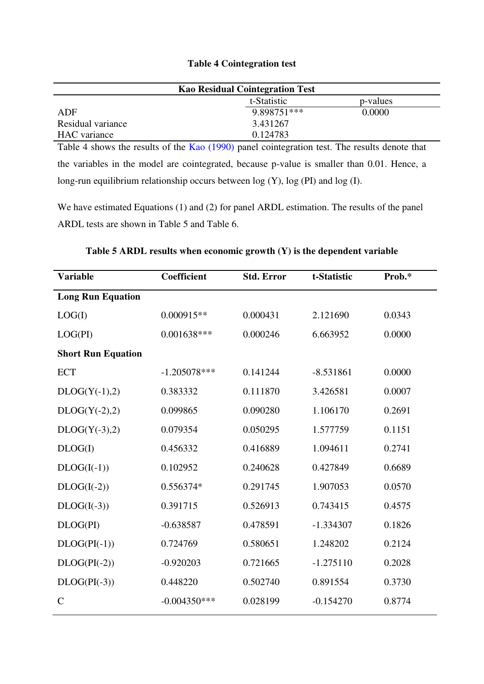## **Table 4 Cointegration test**

| <b>Kao Residual Cointegration Test</b> |             |          |  |
|----------------------------------------|-------------|----------|--|
|                                        | t-Statistic | p-values |  |
| ADF                                    | 9.898751*** | 0.0000   |  |
| Residual variance                      | 3.431267    |          |  |
| HAC variance                           | 0.124783    |          |  |

Table 4 shows the results of the Kao (1990) panel cointegration test. The results denote that the variables in the model are cointegrated, because p-value is smaller than 0.01. Hence, a long-run equilibrium relationship occurs between log (Y), log (PI) and log (I).

We have estimated Equations (1) and (2) for panel ARDL estimation. The results of the panel ARDL tests are shown in Table 5 and Table 6.

| <b>Variable</b>           | Coefficient    | <b>Std. Error</b> | t-Statistic | Prob.* |
|---------------------------|----------------|-------------------|-------------|--------|
| <b>Long Run Equation</b>  |                |                   |             |        |
| LOG(I)                    | $0.000915**$   | 0.000431          | 2.121690    | 0.0343 |
| LOG(PI)                   | $0.001638***$  | 0.000246          | 6.663952    | 0.0000 |
| <b>Short Run Equation</b> |                |                   |             |        |
| <b>ECT</b>                | $-1.205078***$ | 0.141244          | $-8.531861$ | 0.0000 |
| $DLOG(Y(-1),2)$           | 0.383332       | 0.111870          | 3.426581    | 0.0007 |
| $DLOG(Y(-2),2)$           | 0.099865       | 0.090280          | 1.106170    | 0.2691 |
| $DLOG(Y(-3),2)$           | 0.079354       | 0.050295          | 1.577759    | 0.1151 |
| DLOG(I)                   | 0.456332       | 0.416889          | 1.094611    | 0.2741 |
| $DLOG(I(-1))$             | 0.102952       | 0.240628          | 0.427849    | 0.6689 |
| $DLOG(I(-2))$             | 0.556374*      | 0.291745          | 1.907053    | 0.0570 |
| $DLOG(I(-3))$             | 0.391715       | 0.526913          | 0.743415    | 0.4575 |
| DLOG(PI)                  | $-0.638587$    | 0.478591          | $-1.334307$ | 0.1826 |
| $DLOG(PI(-1))$            | 0.724769       | 0.580651          | 1.248202    | 0.2124 |
| $DLOG(PI(-2))$            | $-0.920203$    | 0.721665          | $-1.275110$ | 0.2028 |
| $DLOG(PI(-3))$            | 0.448220       | 0.502740          | 0.891554    | 0.3730 |
| $\mathcal{C}$             | $-0.004350***$ | 0.028199          | $-0.154270$ | 0.8774 |

## **Table 5 ARDL results when economic growth (Y) is the dependent variable**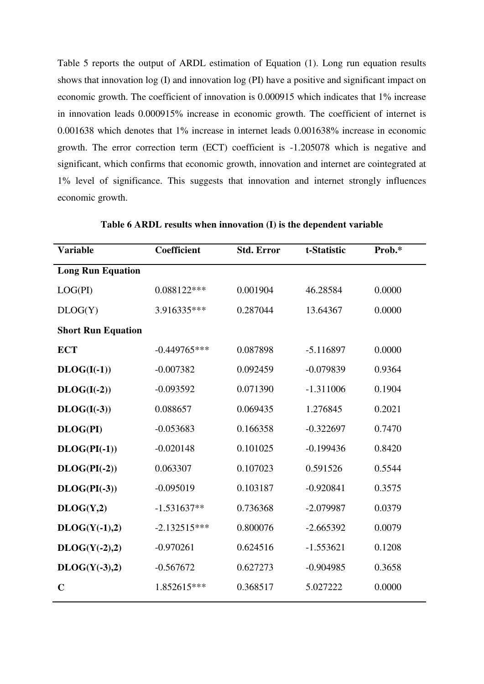Table 5 reports the output of ARDL estimation of Equation (1). Long run equation results shows that innovation log (I) and innovation log (PI) have a positive and significant impact on economic growth. The coefficient of innovation is 0.000915 which indicates that 1% increase in innovation leads 0.000915% increase in economic growth. The coefficient of internet is 0.001638 which denotes that 1% increase in internet leads 0.001638% increase in economic growth. The error correction term (ECT) coefficient is -1.205078 which is negative and significant, which confirms that economic growth, innovation and internet are cointegrated at 1% level of significance. This suggests that innovation and internet strongly influences economic growth.

| Coefficient    | <b>Std. Error</b> | t-Statistic | Prob.* |
|----------------|-------------------|-------------|--------|
|                |                   |             |        |
| 0.088122***    | 0.001904          | 46.28584    | 0.0000 |
| 3.916335***    | 0.287044          | 13.64367    | 0.0000 |
|                |                   |             |        |
| $-0.449765***$ | 0.087898          | $-5.116897$ | 0.0000 |
| $-0.007382$    | 0.092459          | $-0.079839$ | 0.9364 |
| $-0.093592$    | 0.071390          | $-1.311006$ | 0.1904 |
| 0.088657       | 0.069435          | 1.276845    | 0.2021 |
| $-0.053683$    | 0.166358          | $-0.322697$ | 0.7470 |
| $-0.020148$    | 0.101025          | $-0.199436$ | 0.8420 |
| 0.063307       | 0.107023          | 0.591526    | 0.5544 |
| $-0.095019$    | 0.103187          | $-0.920841$ | 0.3575 |
| $-1.531637**$  | 0.736368          | $-2.079987$ | 0.0379 |
| $-2.132515***$ | 0.800076          | $-2.665392$ | 0.0079 |
| $-0.970261$    | 0.624516          | $-1.553621$ | 0.1208 |
| $-0.567672$    | 0.627273          | $-0.904985$ | 0.3658 |
| 1.852615***    | 0.368517          | 5.027222    | 0.0000 |
|                |                   |             |        |

**Table 6 ARDL results when innovation (I) is the dependent variable**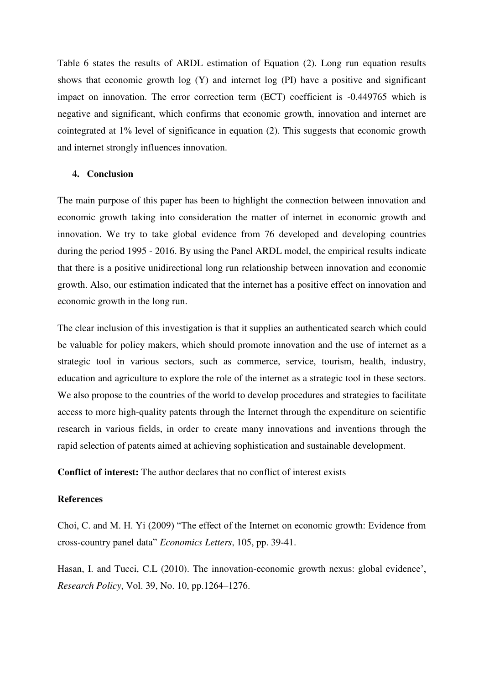Table 6 states the results of ARDL estimation of Equation (2). Long run equation results shows that economic growth  $log(Y)$  and internet  $log(PI)$  have a positive and significant impact on innovation. The error correction term (ECT) coefficient is -0.449765 which is negative and significant, which confirms that economic growth, innovation and internet are cointegrated at 1% level of significance in equation (2). This suggests that economic growth and internet strongly influences innovation.

#### **4. Conclusion**

The main purpose of this paper has been to highlight the connection between innovation and economic growth taking into consideration the matter of internet in economic growth and innovation. We try to take global evidence from 76 developed and developing countries during the period 1995 - 2016. By using the Panel ARDL model, the empirical results indicate that there is a positive unidirectional long run relationship between innovation and economic growth. Also, our estimation indicated that the internet has a positive effect on innovation and economic growth in the long run.

The clear inclusion of this investigation is that it supplies an authenticated search which could be valuable for policy makers, which should promote innovation and the use of internet as a strategic tool in various sectors, such as commerce, service, tourism, health, industry, education and agriculture to explore the role of the internet as a strategic tool in these sectors. We also propose to the countries of the world to develop procedures and strategies to facilitate access to more high-quality patents through the Internet through the expenditure on scientific research in various fields, in order to create many innovations and inventions through the rapid selection of patents aimed at achieving sophistication and sustainable development.

**Conflict of interest:** The author declares that no conflict of interest exists

#### **References**

Choi, C. and M. H. Yi (2009) "The effect of the Internet on economic growth: Evidence from cross-country panel data" *Economics Letters*, 105, pp. 39-41.

Hasan, I. and Tucci, C.L (2010). The innovation-economic growth nexus: global evidence', *Research Policy*, Vol. 39, No. 10, pp.1264–1276.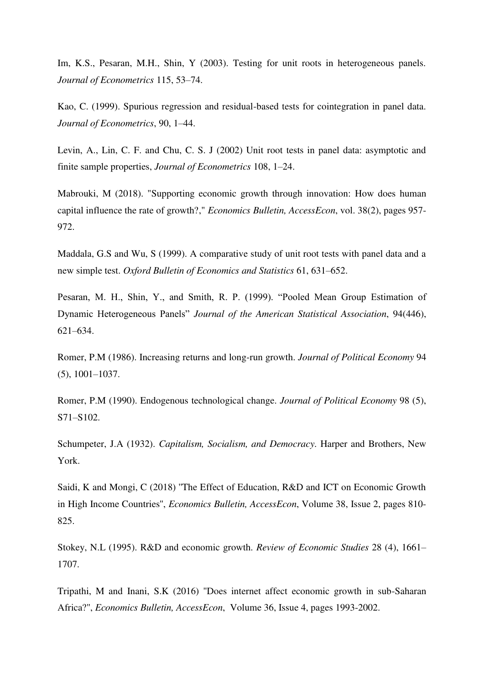Im, K.S., Pesaran, M.H., Shin, Y (2003). Testing for unit roots in heterogeneous panels. *Journal of Econometrics* 115, 53–74.

Kao, C. (1999). Spurious regression and residual-based tests for cointegration in panel data. *Journal of Econometrics*, 90, 1–44.

Levin, A., Lin, C. F. and Chu, C. S. J (2002) Unit root tests in panel data: asymptotic and finite sample properties, *Journal of Econometrics* 108, 1–24.

Mabrouki, M (2018). "Supporting economic growth through innovation: How does human capital influence the rate of growth?," *Economics Bulletin, AccessEcon*, vol. 38(2), pages 957- 972.

Maddala, G.S and Wu, S (1999). A comparative study of unit root tests with panel data and a new simple test. *Oxford Bulletin of Economics and Statistics* 61, 631–652.

Pesaran, M. H., Shin, Y., and Smith, R. P. (1999). "Pooled Mean Group Estimation of Dynamic Heterogeneous Panels" *Journal of the American Statistical Association*, 94(446), 621–634.

Romer, P.M (1986). Increasing returns and long-run growth. *Journal of Political Economy* 94 (5), 1001–1037.

Romer, P.M (1990). Endogenous technological change. *Journal of Political Economy* 98 (5), S71–S102.

Schumpeter, J.A (1932). *Capitalism, Socialism, and Democracy*. Harper and Brothers, New York.

Saidi, K and Mongi, C (2018) ''The Effect of Education, R&D and ICT on Economic Growth in High Income Countries'', *Economics Bulletin, AccessEcon*, Volume 38, Issue 2, pages 810- 825.

Stokey, N.L (1995). R&D and economic growth. *Review of Economic Studies* 28 (4), 1661– 1707.

Tripathi, M and Inani, S.K (2016) ''Does internet affect economic growth in sub-Saharan Africa?'', *Economics Bulletin, AccessEcon*, Volume 36, Issue 4, pages 1993-2002.